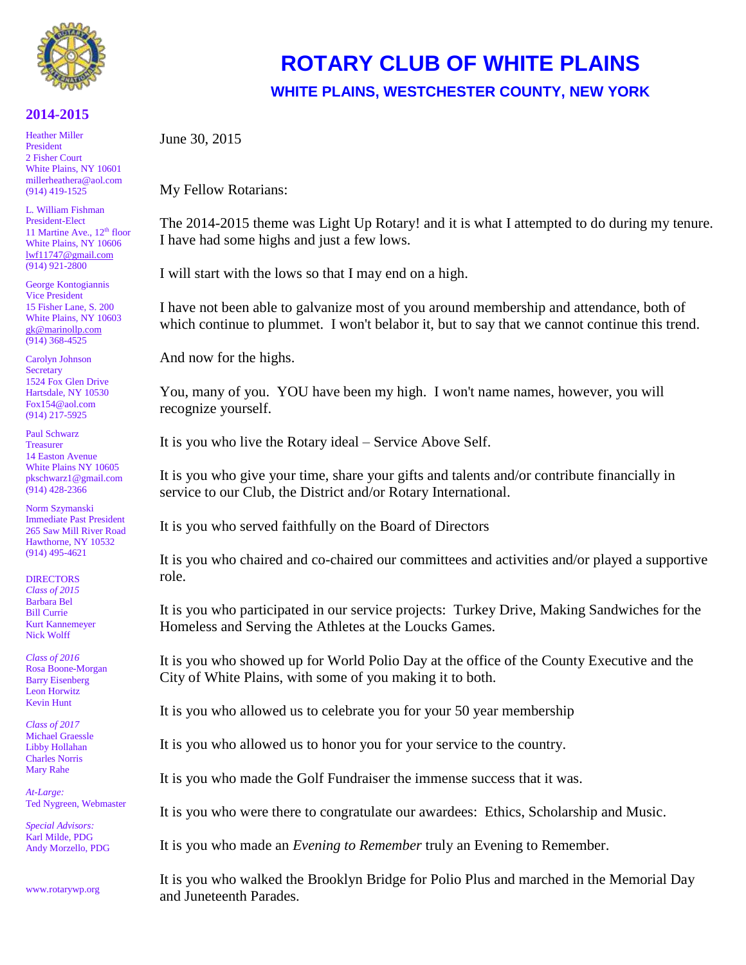

## **2014-2015**

Heather Miller President 2 Fisher Court White Plains, NY 10601 [millerheathera@aol.com](mailto:millerheathera@aol.com) (914) 419-1525

L. William Fishman President-Elect 11 Martine Ave.,  $12<sup>th</sup>$  floor White Plains, NY 10606 [lwf11747@gmail.com](mailto:lwf11747@gmail.com) (914) 921-2800

George Kontogiannis Vice President 15 Fisher Lane, S. 200 White Plains, NY 10603 [gk@marinollp.com](mailto:gk@marinollp.com) (914) 368-4525

Carolyn Johnson **Secretary** 1524 Fox Glen Drive Hartsdale, NY 10530 Fox154@aol.com (914) 217-5925

Paul Schwarz **Treasurer** 14 Easton Avenue White Plains NY 10605 pkschwarz1@gmail.com (914) 428-2366

Norm Szymanski Immediate Past President 265 Saw Mill River Road Hawthorne, NY 10532 (914) 495-4621

**DIRECTORS** *Class of 2015* Barbara Bel Bill Currie Kurt Kannemeyer Nick Wolff

*Class of 2016* Rosa Boone-Morgan Barry Eisenberg Leon Horwitz Kevin Hunt

*Class of 2017* Michael Graessle Libby Hollahan Charles Norris Mary Rahe

*At-Large:* Ted Nygreen, Webmaster

*Special Advisors:* Karl Milde, PDG Andy Morzello, PDG

www.rotarywp.org

## **ROTARY CLUB OF WHITE PLAINS WHITE PLAINS, WESTCHESTER COUNTY, NEW YORK**

June 30, 2015

My Fellow Rotarians:

The 2014-2015 theme was Light Up Rotary! and it is what I attempted to do during my tenure. I have had some highs and just a few lows.

I will start with the lows so that I may end on a high.

I have not been able to galvanize most of you around membership and attendance, both of which continue to plummet. I won't belabor it, but to say that we cannot continue this trend.

And now for the highs.

You, many of you. YOU have been my high. I won't name names, however, you will recognize yourself.

It is you who live the Rotary ideal – Service Above Self.

It is you who give your time, share your gifts and talents and/or contribute financially in service to our Club, the District and/or Rotary International.

It is you who served faithfully on the Board of Directors

It is you who chaired and co-chaired our committees and activities and/or played a supportive role.

It is you who participated in our service projects: Turkey Drive, Making Sandwiches for the Homeless and Serving the Athletes at the Loucks Games.

It is you who showed up for World Polio Day at the office of the County Executive and the City of White Plains, with some of you making it to both.

It is you who allowed us to celebrate you for your 50 year membership

It is you who allowed us to honor you for your service to the country.

It is you who made the Golf Fundraiser the immense success that it was.

It is you who were there to congratulate our awardees: Ethics, Scholarship and Music.

It is you who made an *Evening to Remember* truly an Evening to Remember.

It is you who walked the Brooklyn Bridge for Polio Plus and marched in the Memorial Day and Juneteenth Parades.